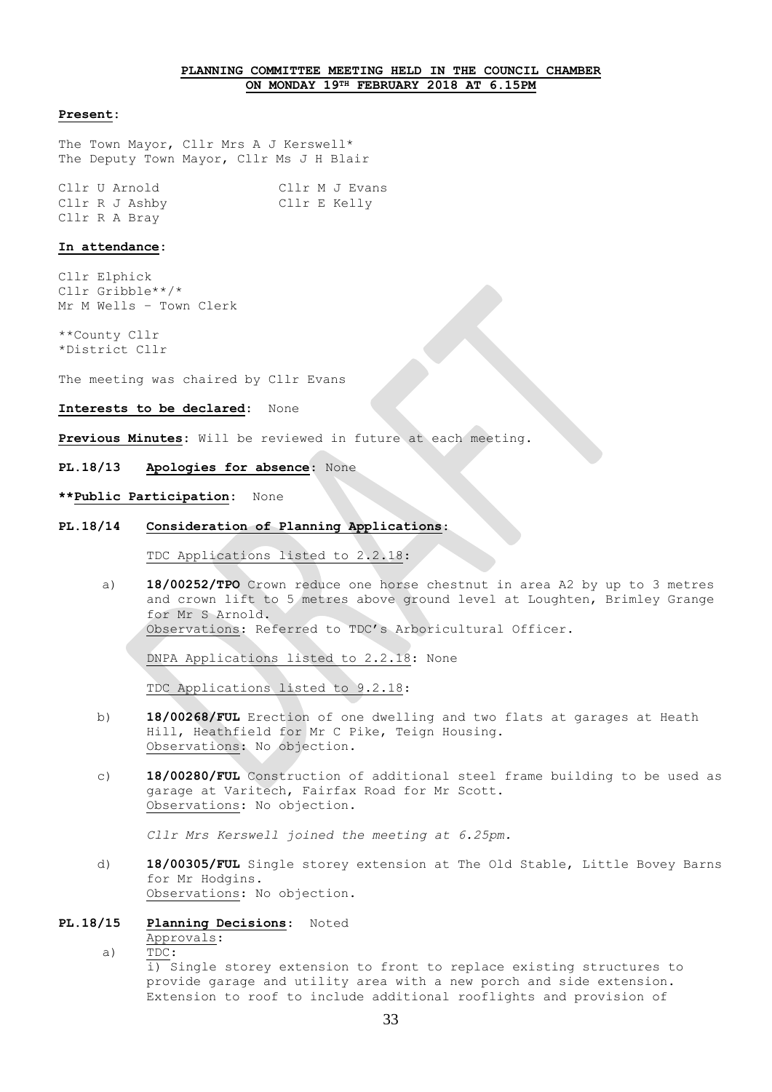# **PLANNING COMMITTEE MEETING HELD IN THE COUNCIL CHAMBER ON MONDAY 19TH FEBRUARY 2018 AT 6.15PM**

### **Present:**

The Town Mayor, Cllr Mrs A J Kerswell\* The Deputy Town Mayor, Cllr Ms J H Blair

Cllr U Arnold Cllr M J Evans Cllr R J Ashby Cllr E Kelly Cllr R A Bray

## **In attendance:**

Cllr Elphick Cllr Gribble\*\*/\* Mr M Wells – Town Clerk

\*\*County Cllr \*District Cllr

The meeting was chaired by Cllr Evans

## **Interests to be declared:** None

**Previous Minutes:** Will be reviewed in future at each meeting.

# **PL.18/13 Apologies for absence**: None

## **\*\*Public Participation:** None

# **PL.18/14 Consideration of Planning Applications**:

TDC Applications listed to 2.2.18:

a) **18/00252/TPO** Crown reduce one horse chestnut in area A2 by up to 3 metres and crown lift to 5 metres above ground level at Loughten, Brimley Grange for Mr S Arnold. Observations: Referred to TDC's Arboricultural Officer.

DNPA Applications listed to 2.2.18: None

TDC Applications listed to 9.2.18:

- b) **18/00268/FUL** Erection of one dwelling and two flats at garages at Heath Hill, Heathfield for Mr C Pike, Teign Housing. Observations: No objection.
- c) **18/00280/FUL** Construction of additional steel frame building to be used as garage at Varitech, Fairfax Road for Mr Scott. Observations: No objection.

*Cllr Mrs Kerswell joined the meeting at 6.25pm.*

d) **18/00305/FUL** Single storey extension at The Old Stable, Little Bovey Barns for Mr Hodgins. Observations: No objection.

## **PL.18/15 Planning Decisions**: Noted

Approvals:

a) TDC:

i) Single storey extension to front to replace existing structures to provide garage and utility area with a new porch and side extension. Extension to roof to include additional rooflights and provision of